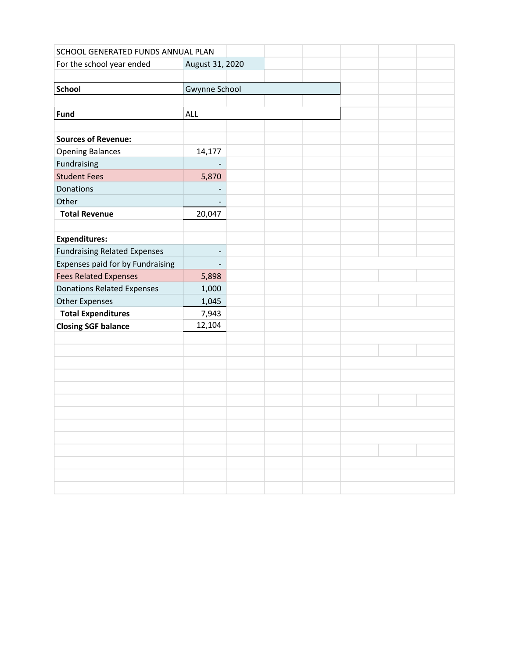| SCHOOL GENERATED FUNDS ANNUAL PLAN  |                          |  |  |  |
|-------------------------------------|--------------------------|--|--|--|
| For the school year ended           | August 31, 2020          |  |  |  |
|                                     |                          |  |  |  |
| <b>School</b>                       | Gwynne School            |  |  |  |
|                                     |                          |  |  |  |
| Fund                                | <b>ALL</b>               |  |  |  |
|                                     |                          |  |  |  |
| <b>Sources of Revenue:</b>          |                          |  |  |  |
| <b>Opening Balances</b>             | 14,177                   |  |  |  |
| Fundraising                         |                          |  |  |  |
| <b>Student Fees</b>                 | 5,870                    |  |  |  |
| Donations                           |                          |  |  |  |
| Other                               |                          |  |  |  |
| <b>Total Revenue</b>                | 20,047                   |  |  |  |
|                                     |                          |  |  |  |
| <b>Expenditures:</b>                |                          |  |  |  |
| <b>Fundraising Related Expenses</b> | -                        |  |  |  |
| Expenses paid for by Fundraising    | $\overline{\phantom{a}}$ |  |  |  |
| <b>Fees Related Expenses</b>        | 5,898                    |  |  |  |
| <b>Donations Related Expenses</b>   | 1,000                    |  |  |  |
| <b>Other Expenses</b>               | 1,045                    |  |  |  |
| <b>Total Expenditures</b>           | 7,943                    |  |  |  |
| <b>Closing SGF balance</b>          | 12,104                   |  |  |  |
|                                     |                          |  |  |  |
|                                     |                          |  |  |  |
|                                     |                          |  |  |  |
|                                     |                          |  |  |  |
|                                     |                          |  |  |  |
|                                     |                          |  |  |  |
|                                     |                          |  |  |  |
|                                     |                          |  |  |  |
|                                     |                          |  |  |  |
|                                     |                          |  |  |  |
|                                     |                          |  |  |  |
|                                     |                          |  |  |  |
|                                     |                          |  |  |  |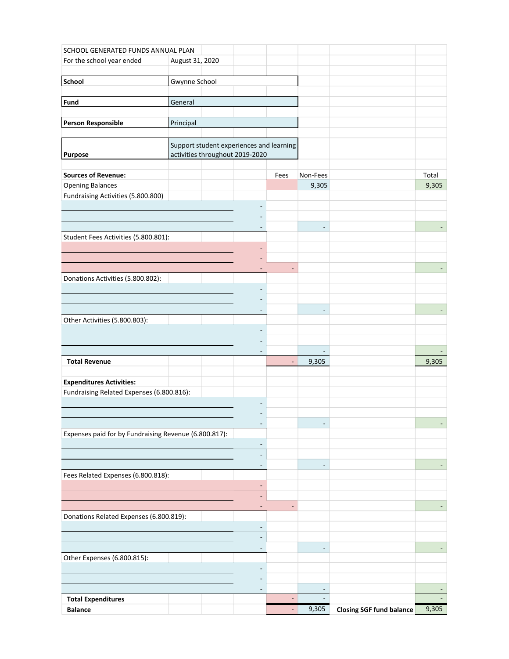|                                                       | SCHOOL GENERATED FUNDS ANNUAL PLAN |  |                                          |                          |                          |                                 |       |
|-------------------------------------------------------|------------------------------------|--|------------------------------------------|--------------------------|--------------------------|---------------------------------|-------|
| For the school year ended                             | August 31, 2020                    |  |                                          |                          |                          |                                 |       |
|                                                       |                                    |  |                                          |                          |                          |                                 |       |
| <b>School</b>                                         | Gwynne School                      |  |                                          |                          |                          |                                 |       |
| Fund                                                  | General                            |  |                                          |                          |                          |                                 |       |
|                                                       |                                    |  |                                          |                          |                          |                                 |       |
| <b>Person Responsible</b>                             | Principal                          |  |                                          |                          |                          |                                 |       |
|                                                       |                                    |  |                                          |                          |                          |                                 |       |
|                                                       |                                    |  | Support student experiences and learning |                          |                          |                                 |       |
| Purpose                                               |                                    |  | activities throughout 2019-2020          |                          |                          |                                 |       |
|                                                       |                                    |  |                                          |                          |                          |                                 |       |
| <b>Sources of Revenue:</b>                            |                                    |  |                                          | Fees                     | Non-Fees                 |                                 | Total |
| <b>Opening Balances</b>                               |                                    |  |                                          |                          | 9,305                    |                                 | 9,305 |
| Fundraising Activities (5.800.800)                    |                                    |  |                                          |                          |                          |                                 |       |
|                                                       |                                    |  |                                          |                          |                          |                                 |       |
|                                                       |                                    |  |                                          |                          | $\overline{\phantom{0}}$ |                                 |       |
| Student Fees Activities (5.800.801):                  |                                    |  |                                          |                          |                          |                                 |       |
|                                                       |                                    |  |                                          |                          |                          |                                 |       |
|                                                       |                                    |  |                                          |                          |                          |                                 |       |
|                                                       |                                    |  |                                          |                          |                          |                                 |       |
| Donations Activities (5.800.802):                     |                                    |  |                                          |                          |                          |                                 |       |
|                                                       |                                    |  |                                          |                          |                          |                                 |       |
|                                                       |                                    |  |                                          |                          |                          |                                 |       |
| Other Activities (5.800.803):                         |                                    |  |                                          |                          |                          |                                 |       |
|                                                       |                                    |  |                                          |                          |                          |                                 |       |
|                                                       |                                    |  |                                          |                          |                          |                                 |       |
|                                                       |                                    |  |                                          |                          | $\overline{\phantom{a}}$ |                                 |       |
| <b>Total Revenue</b>                                  |                                    |  |                                          | $\overline{\phantom{a}}$ | 9,305                    |                                 | 9,305 |
|                                                       |                                    |  |                                          |                          |                          |                                 |       |
| <b>Expenditures Activities:</b>                       |                                    |  |                                          |                          |                          |                                 |       |
| Fundraising Related Expenses (6.800.816):             |                                    |  |                                          |                          |                          |                                 |       |
|                                                       |                                    |  |                                          |                          |                          |                                 |       |
|                                                       |                                    |  | ٠                                        |                          |                          |                                 |       |
| Expenses paid for by Fundraising Revenue (6.800.817): |                                    |  |                                          |                          |                          |                                 |       |
|                                                       |                                    |  |                                          |                          |                          |                                 |       |
|                                                       |                                    |  |                                          |                          |                          |                                 |       |
|                                                       |                                    |  | $\qquad \qquad \blacksquare$             |                          |                          |                                 |       |
| Fees Related Expenses (6.800.818):                    |                                    |  |                                          |                          |                          |                                 |       |
|                                                       |                                    |  | ٠                                        |                          |                          |                                 |       |
|                                                       |                                    |  |                                          | ÷,                       |                          |                                 |       |
| Donations Related Expenses (6.800.819):               |                                    |  | ٠                                        |                          |                          |                                 |       |
|                                                       |                                    |  | $\overline{\phantom{a}}$                 |                          |                          |                                 |       |
|                                                       |                                    |  |                                          |                          |                          |                                 |       |
|                                                       |                                    |  | $\overline{\phantom{a}}$                 |                          |                          |                                 |       |
| Other Expenses (6.800.815):                           |                                    |  |                                          |                          |                          |                                 |       |
|                                                       |                                    |  |                                          |                          |                          |                                 |       |
|                                                       |                                    |  |                                          |                          |                          |                                 |       |
|                                                       |                                    |  |                                          |                          |                          |                                 |       |
| <b>Total Expenditures</b>                             |                                    |  |                                          |                          |                          |                                 |       |
| <b>Balance</b>                                        |                                    |  |                                          | $\blacksquare$           | 9,305                    | <b>Closing SGF fund balance</b> | 9,305 |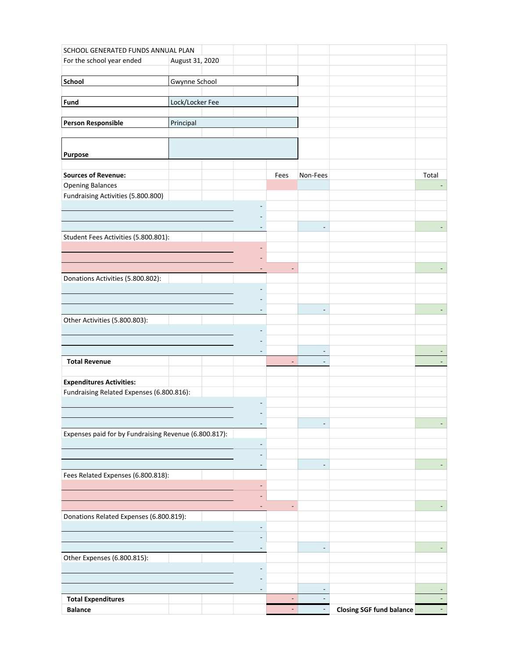| SCHOOL GENERATED FUNDS ANNUAL PLAN                    |                 |                          |                |                                                      |                                 |                          |
|-------------------------------------------------------|-----------------|--------------------------|----------------|------------------------------------------------------|---------------------------------|--------------------------|
| For the school year ended                             | August 31, 2020 |                          |                |                                                      |                                 |                          |
|                                                       |                 |                          |                |                                                      |                                 |                          |
| School                                                | Gwynne School   |                          |                |                                                      |                                 |                          |
| Fund                                                  | Lock/Locker Fee |                          |                |                                                      |                                 |                          |
|                                                       |                 |                          |                |                                                      |                                 |                          |
| <b>Person Responsible</b>                             | Principal       |                          |                |                                                      |                                 |                          |
|                                                       |                 |                          |                |                                                      |                                 |                          |
|                                                       |                 |                          |                |                                                      |                                 |                          |
| Purpose                                               |                 |                          |                |                                                      |                                 |                          |
|                                                       |                 |                          |                |                                                      |                                 |                          |
| <b>Sources of Revenue:</b><br><b>Opening Balances</b> |                 |                          | Fees           | Non-Fees                                             |                                 | Total                    |
| Fundraising Activities (5.800.800)                    |                 |                          |                |                                                      |                                 |                          |
|                                                       |                 |                          |                |                                                      |                                 |                          |
|                                                       |                 |                          |                |                                                      |                                 |                          |
|                                                       |                 |                          |                | $\frac{1}{2}$                                        |                                 |                          |
| Student Fees Activities (5.800.801):                  |                 |                          |                |                                                      |                                 |                          |
|                                                       |                 |                          |                |                                                      |                                 |                          |
|                                                       |                 |                          | ÷,             |                                                      |                                 |                          |
| Donations Activities (5.800.802):                     |                 |                          |                |                                                      |                                 |                          |
|                                                       |                 |                          |                |                                                      |                                 |                          |
|                                                       |                 |                          |                |                                                      |                                 |                          |
|                                                       |                 |                          |                |                                                      |                                 |                          |
| Other Activities (5.800.803):                         |                 |                          |                |                                                      |                                 |                          |
|                                                       |                 |                          |                |                                                      |                                 |                          |
|                                                       |                 |                          |                |                                                      |                                 |                          |
| <b>Total Revenue</b>                                  |                 |                          | $\overline{a}$ | $\overline{\phantom{a}}$<br>$\overline{\phantom{a}}$ |                                 | $\overline{\phantom{a}}$ |
|                                                       |                 |                          |                |                                                      |                                 |                          |
| <b>Expenditures Activities:</b>                       |                 |                          |                |                                                      |                                 |                          |
| Fundraising Related Expenses (6.800.816):             |                 |                          |                |                                                      |                                 |                          |
|                                                       |                 |                          |                |                                                      |                                 |                          |
|                                                       |                 |                          |                |                                                      |                                 |                          |
| Expenses paid for by Fundraising Revenue (6.800.817): |                 | ٠                        |                |                                                      |                                 |                          |
|                                                       |                 |                          |                |                                                      |                                 |                          |
|                                                       |                 |                          |                |                                                      |                                 |                          |
|                                                       |                 | $\overline{a}$           |                |                                                      |                                 |                          |
| Fees Related Expenses (6.800.818):                    |                 |                          |                |                                                      |                                 |                          |
|                                                       |                 | $\overline{\phantom{a}}$ |                |                                                      |                                 |                          |
|                                                       |                 |                          |                |                                                      |                                 |                          |
| Donations Related Expenses (6.800.819):               |                 | ٠                        | ٠              |                                                      |                                 |                          |
|                                                       |                 | $\overline{a}$           |                |                                                      |                                 |                          |
|                                                       |                 |                          |                |                                                      |                                 |                          |
|                                                       |                 | $\overline{\phantom{a}}$ |                |                                                      |                                 |                          |
| Other Expenses (6.800.815):                           |                 |                          |                |                                                      |                                 |                          |
|                                                       |                 |                          |                |                                                      |                                 |                          |
|                                                       |                 |                          |                |                                                      |                                 |                          |
|                                                       |                 | ٠                        |                |                                                      |                                 |                          |
| <b>Total Expenditures</b><br><b>Balance</b>           |                 |                          | ٠              |                                                      | <b>Closing SGF fund balance</b> |                          |
|                                                       |                 |                          |                |                                                      |                                 |                          |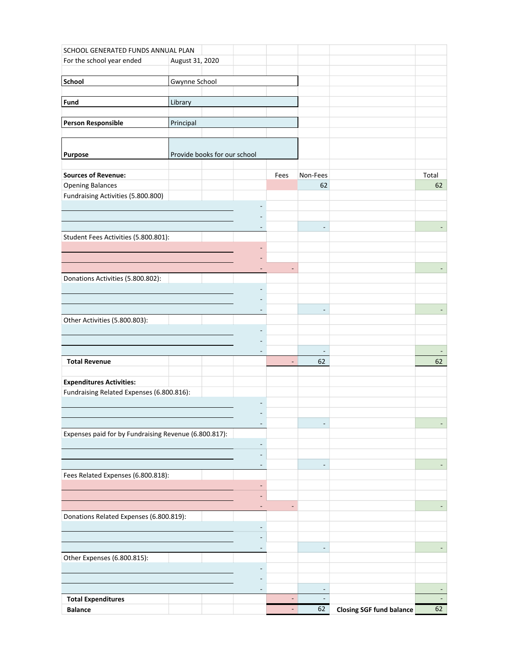| SCHOOL GENERATED FUNDS ANNUAL PLAN                                           |                              |                              |                |                |                                 |       |
|------------------------------------------------------------------------------|------------------------------|------------------------------|----------------|----------------|---------------------------------|-------|
| For the school year ended                                                    | August 31, 2020              |                              |                |                |                                 |       |
|                                                                              |                              |                              |                |                |                                 |       |
| School                                                                       | Gwynne School                |                              |                |                |                                 |       |
| Fund                                                                         | Library                      |                              |                |                |                                 |       |
|                                                                              |                              |                              |                |                |                                 |       |
| <b>Person Responsible</b>                                                    | Principal                    |                              |                |                |                                 |       |
|                                                                              |                              |                              |                |                |                                 |       |
|                                                                              |                              |                              |                |                |                                 |       |
| Purpose                                                                      | Provide books for our school |                              |                |                |                                 |       |
| <b>Sources of Revenue:</b>                                                   |                              |                              | Fees           | Non-Fees       |                                 | Total |
| <b>Opening Balances</b>                                                      |                              |                              |                | 62             |                                 | 62    |
| Fundraising Activities (5.800.800)                                           |                              |                              |                |                |                                 |       |
|                                                                              |                              |                              |                |                |                                 |       |
|                                                                              |                              |                              |                |                |                                 |       |
| Student Fees Activities (5.800.801):                                         |                              |                              |                | ÷,             |                                 |       |
|                                                                              |                              |                              |                |                |                                 |       |
|                                                                              |                              |                              |                |                |                                 |       |
|                                                                              |                              |                              | ۰              |                |                                 |       |
| Donations Activities (5.800.802):                                            |                              |                              |                |                |                                 |       |
|                                                                              |                              |                              |                |                |                                 |       |
|                                                                              |                              |                              |                |                |                                 |       |
| Other Activities (5.800.803):                                                |                              | $\overline{a}$               |                |                |                                 |       |
|                                                                              |                              |                              |                |                |                                 |       |
|                                                                              |                              |                              |                |                |                                 |       |
|                                                                              |                              |                              |                | $\frac{1}{2}$  |                                 |       |
| <b>Total Revenue</b>                                                         |                              |                              | $\overline{a}$ | 62             |                                 | 62    |
|                                                                              |                              |                              |                |                |                                 |       |
| <b>Expenditures Activities:</b><br>Fundraising Related Expenses (6.800.816): |                              |                              |                |                |                                 |       |
|                                                                              |                              |                              |                |                |                                 |       |
|                                                                              |                              |                              |                |                |                                 |       |
|                                                                              |                              |                              |                |                |                                 |       |
| Expenses paid for by Fundraising Revenue (6.800.817):                        |                              |                              |                |                |                                 |       |
|                                                                              |                              | $\qquad \qquad \blacksquare$ |                |                |                                 |       |
|                                                                              |                              |                              |                |                |                                 |       |
| Fees Related Expenses (6.800.818):                                           |                              | $\overline{\phantom{a}}$     |                |                |                                 |       |
|                                                                              |                              | ÷,                           |                |                |                                 |       |
|                                                                              |                              |                              |                |                |                                 |       |
|                                                                              |                              | ٠                            |                |                |                                 |       |
| Donations Related Expenses (6.800.819):                                      |                              |                              |                |                |                                 |       |
|                                                                              |                              | -                            |                |                |                                 |       |
|                                                                              |                              | $\overline{\phantom{a}}$     |                |                |                                 |       |
| Other Expenses (6.800.815):                                                  |                              |                              |                |                |                                 |       |
|                                                                              |                              |                              |                |                |                                 |       |
|                                                                              |                              |                              |                |                |                                 |       |
|                                                                              |                              | $\overline{a}$               |                | $\overline{a}$ |                                 |       |
| <b>Total Expenditures</b>                                                    |                              |                              |                |                |                                 |       |
| <b>Balance</b>                                                               |                              |                              | $\blacksquare$ | 62             | <b>Closing SGF fund balance</b> | 62    |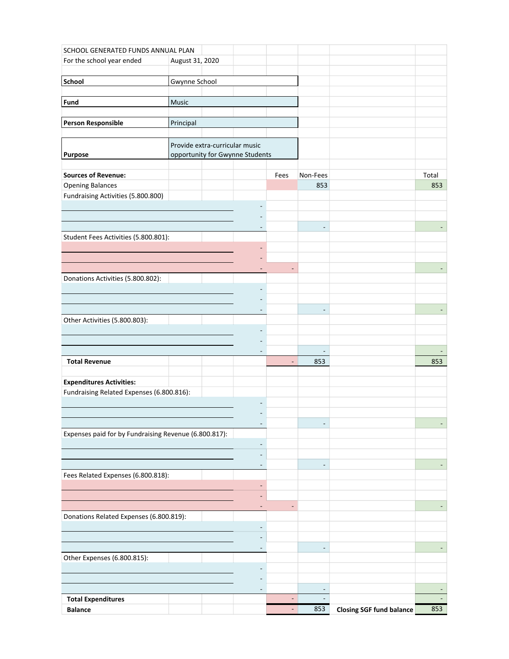| SCHOOL GENERATED FUNDS ANNUAL PLAN                    |                 |                                 |                |                          |                                 |       |
|-------------------------------------------------------|-----------------|---------------------------------|----------------|--------------------------|---------------------------------|-------|
| For the school year ended                             | August 31, 2020 |                                 |                |                          |                                 |       |
|                                                       |                 |                                 |                |                          |                                 |       |
| <b>School</b>                                         | Gwynne School   |                                 |                |                          |                                 |       |
| Fund                                                  | Music           |                                 |                |                          |                                 |       |
|                                                       |                 |                                 |                |                          |                                 |       |
| <b>Person Responsible</b>                             | Principal       |                                 |                |                          |                                 |       |
|                                                       |                 |                                 |                |                          |                                 |       |
|                                                       |                 | Provide extra-curricular music  |                |                          |                                 |       |
| Purpose                                               |                 | opportunity for Gwynne Students |                |                          |                                 |       |
|                                                       |                 |                                 |                |                          |                                 |       |
| <b>Sources of Revenue:</b>                            |                 |                                 | Fees           | Non-Fees                 |                                 | Total |
| <b>Opening Balances</b>                               |                 |                                 |                | 853                      |                                 | 853   |
| Fundraising Activities (5.800.800)                    |                 |                                 |                |                          |                                 |       |
|                                                       |                 |                                 |                |                          |                                 |       |
|                                                       |                 |                                 |                | $\frac{1}{2}$            |                                 |       |
| Student Fees Activities (5.800.801):                  |                 |                                 |                |                          |                                 |       |
|                                                       |                 |                                 |                |                          |                                 |       |
|                                                       |                 |                                 |                |                          |                                 |       |
|                                                       |                 |                                 | ÷              |                          |                                 |       |
| Donations Activities (5.800.802):                     |                 |                                 |                |                          |                                 |       |
|                                                       |                 |                                 |                |                          |                                 |       |
|                                                       |                 |                                 |                |                          |                                 |       |
| Other Activities (5.800.803):                         |                 |                                 |                |                          |                                 |       |
|                                                       |                 |                                 |                |                          |                                 |       |
|                                                       |                 |                                 |                |                          |                                 |       |
|                                                       |                 |                                 |                | $\overline{\phantom{a}}$ |                                 |       |
| <b>Total Revenue</b>                                  |                 |                                 | $\overline{a}$ | 853                      |                                 | 853   |
|                                                       |                 |                                 |                |                          |                                 |       |
| <b>Expenditures Activities:</b>                       |                 |                                 |                |                          |                                 |       |
| Fundraising Related Expenses (6.800.816):             |                 |                                 |                |                          |                                 |       |
|                                                       |                 |                                 |                |                          |                                 |       |
|                                                       |                 | ٠                               |                |                          |                                 |       |
| Expenses paid for by Fundraising Revenue (6.800.817): |                 |                                 |                |                          |                                 |       |
|                                                       |                 |                                 |                |                          |                                 |       |
|                                                       |                 |                                 |                |                          |                                 |       |
|                                                       |                 | $\overline{a}$                  |                |                          |                                 |       |
| Fees Related Expenses (6.800.818):                    |                 |                                 |                |                          |                                 |       |
|                                                       |                 | $\overline{\phantom{a}}$        |                |                          |                                 |       |
|                                                       |                 | ٠                               | ٠              |                          |                                 |       |
| Donations Related Expenses (6.800.819):               |                 |                                 |                |                          |                                 |       |
|                                                       |                 | $\qquad \qquad \blacksquare$    |                |                          |                                 |       |
|                                                       |                 |                                 |                |                          |                                 |       |
|                                                       |                 | $\overline{\phantom{a}}$        |                |                          |                                 |       |
| Other Expenses (6.800.815):                           |                 |                                 |                |                          |                                 |       |
|                                                       |                 |                                 |                |                          |                                 |       |
|                                                       |                 |                                 |                |                          |                                 |       |
|                                                       |                 | ٠                               |                |                          |                                 |       |
| <b>Total Expenditures</b><br><b>Balance</b>           |                 |                                 | ٠              | 853                      | <b>Closing SGF fund balance</b> | 853   |
|                                                       |                 |                                 |                |                          |                                 |       |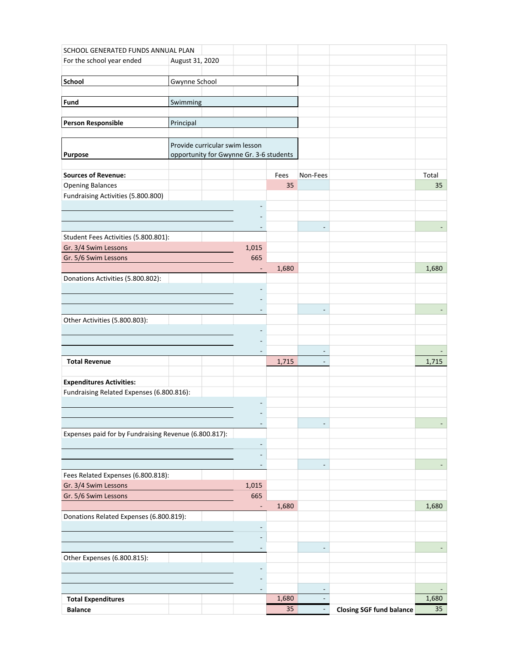| SCHOOL GENERATED FUNDS ANNUAL PLAN                            |                                |                                         |       |                |                                 |                 |
|---------------------------------------------------------------|--------------------------------|-----------------------------------------|-------|----------------|---------------------------------|-----------------|
| For the school year ended                                     | August 31, 2020                |                                         |       |                |                                 |                 |
|                                                               |                                |                                         |       |                |                                 |                 |
| School                                                        | Gwynne School                  |                                         |       |                |                                 |                 |
| Fund                                                          | Swimming                       |                                         |       |                |                                 |                 |
|                                                               |                                |                                         |       |                |                                 |                 |
| <b>Person Responsible</b>                                     | Principal                      |                                         |       |                |                                 |                 |
|                                                               |                                |                                         |       |                |                                 |                 |
|                                                               | Provide curricular swim lesson |                                         |       |                |                                 |                 |
| Purpose                                                       |                                | opportunity for Gwynne Gr. 3-6 students |       |                |                                 |                 |
|                                                               |                                |                                         |       |                |                                 |                 |
| <b>Sources of Revenue:</b>                                    |                                |                                         | Fees  | Non-Fees       |                                 | Total           |
| <b>Opening Balances</b><br>Fundraising Activities (5.800.800) |                                |                                         | 35    |                |                                 | 35              |
|                                                               |                                |                                         |       |                |                                 |                 |
|                                                               |                                |                                         |       |                |                                 |                 |
|                                                               |                                |                                         |       |                |                                 |                 |
| Student Fees Activities (5.800.801):                          |                                |                                         |       |                |                                 |                 |
| Gr. 3/4 Swim Lessons                                          |                                | 1,015                                   |       |                |                                 |                 |
| Gr. 5/6 Swim Lessons                                          |                                | 665                                     |       |                |                                 |                 |
|                                                               |                                | $\overline{\phantom{a}}$                | 1,680 |                |                                 | 1,680           |
| Donations Activities (5.800.802):                             |                                |                                         |       |                |                                 |                 |
|                                                               |                                |                                         |       |                |                                 |                 |
|                                                               |                                | ٠                                       |       |                |                                 |                 |
| Other Activities (5.800.803):                                 |                                |                                         |       |                |                                 |                 |
|                                                               |                                |                                         |       |                |                                 |                 |
|                                                               |                                |                                         |       |                |                                 |                 |
|                                                               |                                | $\overline{\phantom{a}}$                |       | $\blacksquare$ |                                 |                 |
| <b>Total Revenue</b>                                          |                                |                                         | 1,715 |                |                                 | 1,715           |
|                                                               |                                |                                         |       |                |                                 |                 |
| <b>Expenditures Activities:</b>                               |                                |                                         |       |                |                                 |                 |
| Fundraising Related Expenses (6.800.816):                     |                                |                                         |       |                |                                 |                 |
|                                                               |                                |                                         |       |                |                                 |                 |
|                                                               |                                |                                         |       |                |                                 |                 |
| Expenses paid for by Fundraising Revenue (6.800.817):         |                                |                                         |       |                |                                 |                 |
|                                                               |                                | $\overline{\phantom{a}}$                |       |                |                                 |                 |
|                                                               |                                |                                         |       |                |                                 |                 |
|                                                               |                                | $\overline{\phantom{a}}$                |       |                |                                 |                 |
| Fees Related Expenses (6.800.818):                            |                                |                                         |       |                |                                 |                 |
| Gr. 3/4 Swim Lessons<br>Gr. 5/6 Swim Lessons                  |                                | 1,015<br>665                            |       |                |                                 |                 |
|                                                               |                                | $\overline{\phantom{a}}$                | 1,680 |                |                                 | 1,680           |
| Donations Related Expenses (6.800.819):                       |                                |                                         |       |                |                                 |                 |
|                                                               |                                | $\overline{\phantom{a}}$                |       |                |                                 |                 |
|                                                               |                                |                                         |       |                |                                 |                 |
|                                                               |                                | $\overline{\phantom{a}}$                |       |                |                                 |                 |
| Other Expenses (6.800.815):                                   |                                |                                         |       |                |                                 |                 |
|                                                               |                                |                                         |       |                |                                 |                 |
|                                                               |                                |                                         |       |                |                                 |                 |
| <b>Total Expenditures</b>                                     |                                | $\overline{\phantom{a}}$                | 1,680 |                |                                 | 1,680           |
| <b>Balance</b>                                                |                                |                                         | 35    |                | <b>Closing SGF fund balance</b> | 35 <sup>°</sup> |
|                                                               |                                |                                         |       |                |                                 |                 |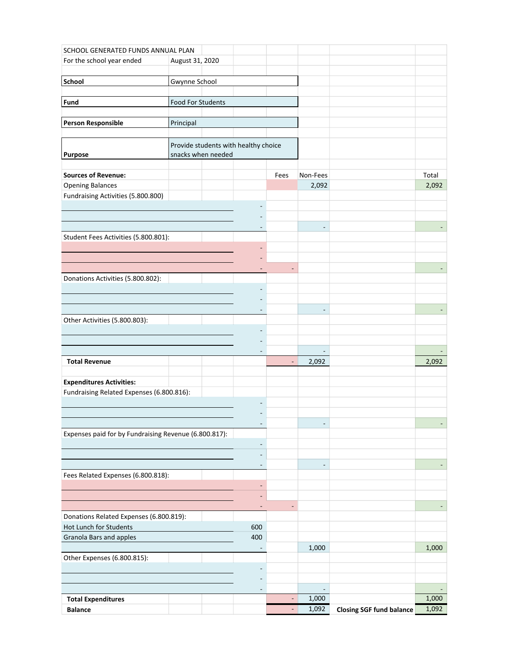|                                                       | SCHOOL GENERATED FUNDS ANNUAL PLAN |  |                                      |                          |                          |                                 |                |
|-------------------------------------------------------|------------------------------------|--|--------------------------------------|--------------------------|--------------------------|---------------------------------|----------------|
| For the school year ended                             | August 31, 2020                    |  |                                      |                          |                          |                                 |                |
|                                                       |                                    |  |                                      |                          |                          |                                 |                |
| <b>School</b>                                         | Gwynne School                      |  |                                      |                          |                          |                                 |                |
| Fund                                                  | Food For Students                  |  |                                      |                          |                          |                                 |                |
|                                                       |                                    |  |                                      |                          |                          |                                 |                |
| <b>Person Responsible</b>                             | Principal                          |  |                                      |                          |                          |                                 |                |
|                                                       |                                    |  |                                      |                          |                          |                                 |                |
|                                                       |                                    |  | Provide students with healthy choice |                          |                          |                                 |                |
| <b>Purpose</b>                                        | snacks when needed                 |  |                                      |                          |                          |                                 |                |
|                                                       |                                    |  |                                      |                          |                          |                                 |                |
| <b>Sources of Revenue:</b>                            |                                    |  |                                      | Fees                     | Non-Fees                 |                                 | Total          |
| <b>Opening Balances</b>                               |                                    |  |                                      |                          | 2,092                    |                                 | 2,092          |
| Fundraising Activities (5.800.800)                    |                                    |  |                                      |                          |                          |                                 |                |
|                                                       |                                    |  |                                      |                          |                          |                                 |                |
|                                                       |                                    |  |                                      |                          | $\overline{a}$           |                                 |                |
| Student Fees Activities (5.800.801):                  |                                    |  |                                      |                          |                          |                                 |                |
|                                                       |                                    |  |                                      |                          |                          |                                 |                |
|                                                       |                                    |  |                                      |                          |                          |                                 |                |
|                                                       |                                    |  |                                      |                          |                          |                                 |                |
| Donations Activities (5.800.802):                     |                                    |  |                                      |                          |                          |                                 |                |
|                                                       |                                    |  |                                      |                          |                          |                                 |                |
|                                                       |                                    |  |                                      |                          |                          |                                 |                |
| Other Activities (5.800.803):                         |                                    |  |                                      |                          |                          |                                 |                |
|                                                       |                                    |  |                                      |                          |                          |                                 |                |
|                                                       |                                    |  |                                      |                          |                          |                                 |                |
|                                                       |                                    |  |                                      |                          | $\overline{\phantom{a}}$ |                                 |                |
| <b>Total Revenue</b>                                  |                                    |  |                                      | $\overline{\phantom{a}}$ | 2,092                    |                                 | 2,092          |
|                                                       |                                    |  |                                      |                          |                          |                                 |                |
| <b>Expenditures Activities:</b>                       |                                    |  |                                      |                          |                          |                                 |                |
| Fundraising Related Expenses (6.800.816):             |                                    |  |                                      |                          |                          |                                 |                |
|                                                       |                                    |  |                                      |                          |                          |                                 |                |
|                                                       |                                    |  | $\overline{\phantom{a}}$             |                          |                          |                                 |                |
| Expenses paid for by Fundraising Revenue (6.800.817): |                                    |  |                                      |                          |                          |                                 |                |
|                                                       |                                    |  | $\overline{a}$                       |                          |                          |                                 |                |
|                                                       |                                    |  |                                      |                          |                          |                                 |                |
|                                                       |                                    |  | $\qquad \qquad \blacksquare$         |                          |                          |                                 |                |
| Fees Related Expenses (6.800.818):                    |                                    |  |                                      |                          |                          |                                 |                |
|                                                       |                                    |  | ٠                                    |                          |                          |                                 |                |
|                                                       |                                    |  | ٠                                    | $\overline{a}$           |                          |                                 |                |
| Donations Related Expenses (6.800.819):               |                                    |  | $\overline{\phantom{a}}$             |                          |                          |                                 |                |
| Hot Lunch for Students                                |                                    |  | 600                                  |                          |                          |                                 |                |
| Granola Bars and apples                               |                                    |  | 400                                  |                          |                          |                                 |                |
|                                                       |                                    |  | ٠                                    |                          | 1,000                    |                                 | 1,000          |
| Other Expenses (6.800.815):                           |                                    |  |                                      |                          |                          |                                 |                |
|                                                       |                                    |  |                                      |                          |                          |                                 |                |
|                                                       |                                    |  |                                      |                          |                          |                                 |                |
|                                                       |                                    |  | $\overline{\phantom{a}}$             |                          |                          |                                 |                |
| <b>Total Expenditures</b>                             |                                    |  |                                      | ٠<br>$\blacksquare$      | 1,000                    |                                 | 1,000<br>1,092 |
| <b>Balance</b>                                        |                                    |  |                                      |                          | 1,092                    | <b>Closing SGF fund balance</b> |                |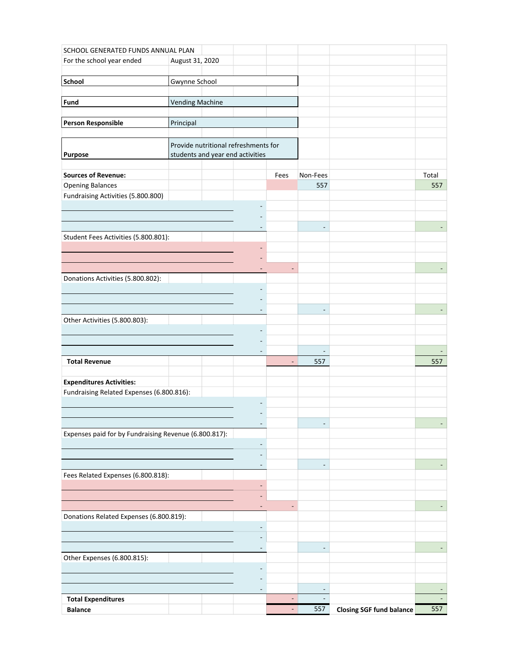| SCHOOL GENERATED FUNDS ANNUAL PLAN                    |                        |                                      |                          |                          |                                 |       |
|-------------------------------------------------------|------------------------|--------------------------------------|--------------------------|--------------------------|---------------------------------|-------|
| For the school year ended                             | August 31, 2020        |                                      |                          |                          |                                 |       |
|                                                       |                        |                                      |                          |                          |                                 |       |
| School                                                | Gwynne School          |                                      |                          |                          |                                 |       |
| Fund                                                  | <b>Vending Machine</b> |                                      |                          |                          |                                 |       |
|                                                       |                        |                                      |                          |                          |                                 |       |
| <b>Person Responsible</b>                             | Principal              |                                      |                          |                          |                                 |       |
|                                                       |                        |                                      |                          |                          |                                 |       |
|                                                       |                        | Provide nutritional refreshments for |                          |                          |                                 |       |
| Purpose                                               |                        | students and year end activities     |                          |                          |                                 |       |
|                                                       |                        |                                      |                          |                          |                                 |       |
| <b>Sources of Revenue:</b>                            |                        |                                      | Fees                     | Non-Fees                 |                                 | Total |
| <b>Opening Balances</b>                               |                        |                                      |                          | 557                      |                                 | 557   |
| Fundraising Activities (5.800.800)                    |                        |                                      |                          |                          |                                 |       |
|                                                       |                        |                                      |                          |                          |                                 |       |
|                                                       |                        |                                      |                          | $\frac{1}{2}$            |                                 |       |
| Student Fees Activities (5.800.801):                  |                        |                                      |                          |                          |                                 |       |
|                                                       |                        |                                      |                          |                          |                                 |       |
|                                                       |                        |                                      |                          |                          |                                 |       |
|                                                       |                        |                                      | ÷                        |                          |                                 |       |
| Donations Activities (5.800.802):                     |                        |                                      |                          |                          |                                 |       |
|                                                       |                        |                                      |                          |                          |                                 |       |
|                                                       |                        |                                      |                          |                          |                                 |       |
| Other Activities (5.800.803):                         |                        |                                      |                          |                          |                                 |       |
|                                                       |                        |                                      |                          |                          |                                 |       |
|                                                       |                        |                                      |                          |                          |                                 |       |
|                                                       |                        |                                      |                          | $\overline{\phantom{a}}$ |                                 |       |
| <b>Total Revenue</b>                                  |                        |                                      | $\overline{\phantom{0}}$ | 557                      |                                 | 557   |
|                                                       |                        |                                      |                          |                          |                                 |       |
| <b>Expenditures Activities:</b>                       |                        |                                      |                          |                          |                                 |       |
| Fundraising Related Expenses (6.800.816):             |                        |                                      |                          |                          |                                 |       |
|                                                       |                        |                                      |                          |                          |                                 |       |
|                                                       |                        | ٠                                    |                          |                          |                                 |       |
| Expenses paid for by Fundraising Revenue (6.800.817): |                        |                                      |                          |                          |                                 |       |
|                                                       |                        |                                      |                          |                          |                                 |       |
|                                                       |                        |                                      |                          |                          |                                 |       |
|                                                       |                        | $\overline{a}$                       |                          |                          |                                 |       |
| Fees Related Expenses (6.800.818):                    |                        |                                      |                          |                          |                                 |       |
|                                                       |                        | $\overline{\phantom{a}}$             |                          |                          |                                 |       |
|                                                       |                        |                                      |                          |                          |                                 |       |
| Donations Related Expenses (6.800.819):               |                        | ٠                                    | ٠                        |                          |                                 |       |
|                                                       |                        | $\qquad \qquad \blacksquare$         |                          |                          |                                 |       |
|                                                       |                        |                                      |                          |                          |                                 |       |
|                                                       |                        | $\overline{\phantom{a}}$             |                          |                          |                                 |       |
| Other Expenses (6.800.815):                           |                        |                                      |                          |                          |                                 |       |
|                                                       |                        |                                      |                          |                          |                                 |       |
|                                                       |                        |                                      |                          |                          |                                 |       |
|                                                       |                        | ٠                                    |                          |                          |                                 |       |
| <b>Total Expenditures</b>                             |                        |                                      |                          |                          |                                 |       |
| <b>Balance</b>                                        |                        |                                      | ٠                        | 557                      | <b>Closing SGF fund balance</b> | 557   |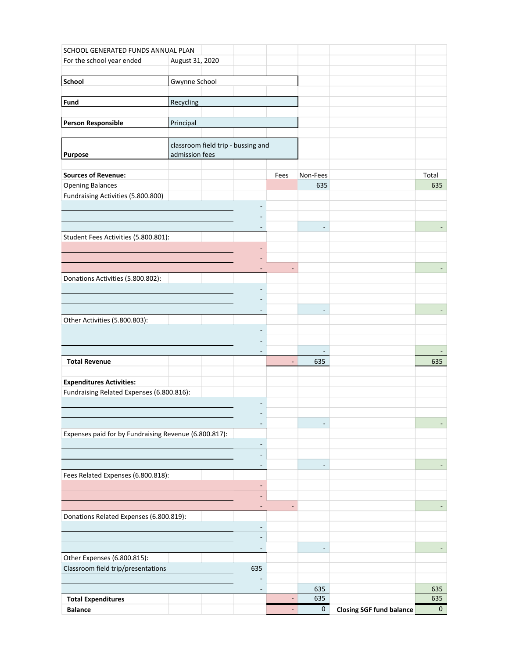| For the school year ended<br>August 31, 2020<br>School<br><b>Gwynne School</b><br>Fund<br>Recycling<br><b>Person Responsible</b><br>Principal<br>classroom field trip - bussing and<br>admission fees<br>Purpose<br><b>Sources of Revenue:</b><br>Fees<br>Non-Fees<br>Total<br><b>Opening Balances</b><br>635<br>Fundraising Activities (5.800.800) | 635        |
|-----------------------------------------------------------------------------------------------------------------------------------------------------------------------------------------------------------------------------------------------------------------------------------------------------------------------------------------------------|------------|
|                                                                                                                                                                                                                                                                                                                                                     |            |
|                                                                                                                                                                                                                                                                                                                                                     |            |
|                                                                                                                                                                                                                                                                                                                                                     |            |
|                                                                                                                                                                                                                                                                                                                                                     |            |
|                                                                                                                                                                                                                                                                                                                                                     |            |
|                                                                                                                                                                                                                                                                                                                                                     |            |
|                                                                                                                                                                                                                                                                                                                                                     |            |
|                                                                                                                                                                                                                                                                                                                                                     |            |
|                                                                                                                                                                                                                                                                                                                                                     |            |
|                                                                                                                                                                                                                                                                                                                                                     |            |
|                                                                                                                                                                                                                                                                                                                                                     |            |
|                                                                                                                                                                                                                                                                                                                                                     |            |
|                                                                                                                                                                                                                                                                                                                                                     |            |
|                                                                                                                                                                                                                                                                                                                                                     |            |
|                                                                                                                                                                                                                                                                                                                                                     |            |
| Student Fees Activities (5.800.801):                                                                                                                                                                                                                                                                                                                |            |
|                                                                                                                                                                                                                                                                                                                                                     |            |
|                                                                                                                                                                                                                                                                                                                                                     |            |
| Donations Activities (5.800.802):                                                                                                                                                                                                                                                                                                                   |            |
|                                                                                                                                                                                                                                                                                                                                                     |            |
|                                                                                                                                                                                                                                                                                                                                                     |            |
| ٠                                                                                                                                                                                                                                                                                                                                                   |            |
| Other Activities (5.800.803):                                                                                                                                                                                                                                                                                                                       |            |
|                                                                                                                                                                                                                                                                                                                                                     |            |
| $\overline{a}$                                                                                                                                                                                                                                                                                                                                      |            |
| <b>Total Revenue</b><br>635<br>$\qquad \qquad -$                                                                                                                                                                                                                                                                                                    | 635        |
|                                                                                                                                                                                                                                                                                                                                                     |            |
| <b>Expenditures Activities:</b>                                                                                                                                                                                                                                                                                                                     |            |
| Fundraising Related Expenses (6.800.816):                                                                                                                                                                                                                                                                                                           |            |
|                                                                                                                                                                                                                                                                                                                                                     |            |
| $\overline{a}$                                                                                                                                                                                                                                                                                                                                      |            |
| Expenses paid for by Fundraising Revenue (6.800.817):                                                                                                                                                                                                                                                                                               |            |
| $\qquad \qquad \blacksquare$                                                                                                                                                                                                                                                                                                                        |            |
|                                                                                                                                                                                                                                                                                                                                                     |            |
| $\overline{\phantom{a}}$                                                                                                                                                                                                                                                                                                                            |            |
| Fees Related Expenses (6.800.818):                                                                                                                                                                                                                                                                                                                  |            |
| ٠                                                                                                                                                                                                                                                                                                                                                   |            |
|                                                                                                                                                                                                                                                                                                                                                     |            |
| Donations Related Expenses (6.800.819):                                                                                                                                                                                                                                                                                                             |            |
| $\overline{\phantom{a}}$                                                                                                                                                                                                                                                                                                                            |            |
|                                                                                                                                                                                                                                                                                                                                                     |            |
| $\overline{\phantom{a}}$                                                                                                                                                                                                                                                                                                                            |            |
| Other Expenses (6.800.815):                                                                                                                                                                                                                                                                                                                         |            |
| Classroom field trip/presentations<br>635                                                                                                                                                                                                                                                                                                           |            |
| 635<br>$\overline{\phantom{a}}$                                                                                                                                                                                                                                                                                                                     |            |
| 635<br><b>Total Expenditures</b><br>$\overline{\phantom{a}}$                                                                                                                                                                                                                                                                                        |            |
| $\mathbf 0$<br><b>Balance</b><br><b>Closing SGF fund balance</b><br>$\blacksquare$                                                                                                                                                                                                                                                                  | 635<br>635 |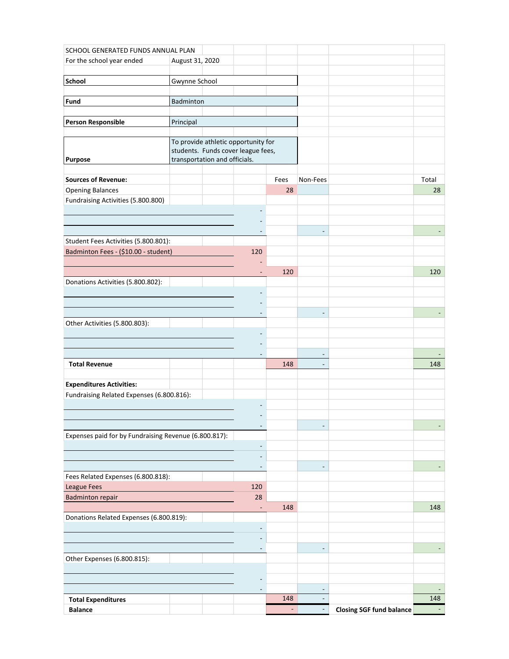| SCHOOL GENERATED FUNDS ANNUAL PLAN                                           |                               |                                     |      |                          |                                 |       |
|------------------------------------------------------------------------------|-------------------------------|-------------------------------------|------|--------------------------|---------------------------------|-------|
| For the school year ended                                                    | August 31, 2020               |                                     |      |                          |                                 |       |
|                                                                              |                               |                                     |      |                          |                                 |       |
| School                                                                       | Gwynne School                 |                                     |      |                          |                                 |       |
|                                                                              |                               |                                     |      |                          |                                 |       |
| Fund                                                                         | Badminton                     |                                     |      |                          |                                 |       |
|                                                                              |                               |                                     |      |                          |                                 |       |
| <b>Person Responsible</b>                                                    | Principal                     |                                     |      |                          |                                 |       |
|                                                                              |                               | To provide athletic opportunity for |      |                          |                                 |       |
|                                                                              |                               | students. Funds cover league fees,  |      |                          |                                 |       |
| <b>Purpose</b>                                                               | transportation and officials. |                                     |      |                          |                                 |       |
|                                                                              |                               |                                     |      |                          |                                 |       |
| <b>Sources of Revenue:</b>                                                   |                               |                                     | Fees | Non-Fees                 |                                 | Total |
| <b>Opening Balances</b>                                                      |                               |                                     | 28   |                          |                                 | 28    |
| Fundraising Activities (5.800.800)                                           |                               |                                     |      |                          |                                 |       |
|                                                                              |                               |                                     |      |                          |                                 |       |
|                                                                              |                               |                                     |      |                          |                                 |       |
| Student Fees Activities (5.800.801):                                         |                               |                                     |      | $\overline{\phantom{a}}$ |                                 |       |
| Badminton Fees - (\$10.00 - student)                                         |                               | 120                                 |      |                          |                                 |       |
|                                                                              |                               |                                     |      |                          |                                 |       |
|                                                                              |                               | $\overline{\phantom{a}}$            | 120  |                          |                                 | 120   |
| Donations Activities (5.800.802):                                            |                               |                                     |      |                          |                                 |       |
|                                                                              |                               |                                     |      |                          |                                 |       |
|                                                                              |                               |                                     |      |                          |                                 |       |
|                                                                              |                               |                                     |      |                          |                                 |       |
| Other Activities (5.800.803):                                                |                               |                                     |      |                          |                                 |       |
|                                                                              |                               |                                     |      |                          |                                 |       |
|                                                                              |                               |                                     |      |                          |                                 |       |
|                                                                              |                               |                                     |      | $\overline{\phantom{a}}$ |                                 |       |
| <b>Total Revenue</b>                                                         |                               |                                     | 148  | $\sim$                   |                                 | 148   |
|                                                                              |                               |                                     |      |                          |                                 |       |
| <b>Expenditures Activities:</b><br>Fundraising Related Expenses (6.800.816): |                               |                                     |      |                          |                                 |       |
|                                                                              |                               |                                     |      |                          |                                 |       |
|                                                                              |                               |                                     |      |                          |                                 |       |
|                                                                              |                               | $\overline{\phantom{a}}$            |      |                          |                                 |       |
| Expenses paid for by Fundraising Revenue (6.800.817):                        |                               |                                     |      |                          |                                 |       |
|                                                                              |                               | $\overline{\phantom{a}}$            |      |                          |                                 |       |
|                                                                              |                               |                                     |      |                          |                                 |       |
|                                                                              |                               | $\overline{\phantom{a}}$            |      | $\sim$                   |                                 |       |
| Fees Related Expenses (6.800.818):                                           |                               |                                     |      |                          |                                 |       |
| League Fees                                                                  |                               | 120                                 |      |                          |                                 |       |
| <b>Badminton repair</b>                                                      |                               | 28                                  |      |                          |                                 |       |
|                                                                              |                               | $\overline{\phantom{a}}$            | 148  |                          |                                 | 148   |
| Donations Related Expenses (6.800.819):                                      |                               |                                     |      |                          |                                 |       |
|                                                                              |                               | $\overline{\phantom{a}}$            |      |                          |                                 |       |
|                                                                              |                               | $\overline{\phantom{a}}$            |      |                          |                                 |       |
| Other Expenses (6.800.815):                                                  |                               |                                     |      |                          |                                 |       |
|                                                                              |                               |                                     |      |                          |                                 |       |
|                                                                              |                               |                                     |      |                          |                                 |       |
|                                                                              |                               |                                     |      |                          |                                 |       |
| <b>Total Expenditures</b>                                                    |                               |                                     | 148  |                          |                                 | 148   |
| <b>Balance</b>                                                               |                               |                                     | ÷    |                          | <b>Closing SGF fund balance</b> |       |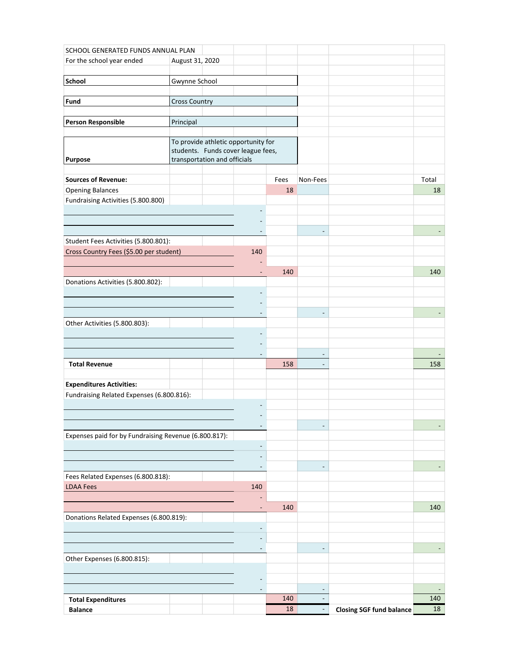|                                                       | SCHOOL GENERATED FUNDS ANNUAL PLAN |  |                                     |            |                          |                                 |             |
|-------------------------------------------------------|------------------------------------|--|-------------------------------------|------------|--------------------------|---------------------------------|-------------|
| For the school year ended                             | August 31, 2020                    |  |                                     |            |                          |                                 |             |
|                                                       |                                    |  |                                     |            |                          |                                 |             |
| School                                                | Gwynne School                      |  |                                     |            |                          |                                 |             |
|                                                       |                                    |  |                                     |            |                          |                                 |             |
| Fund                                                  | <b>Cross Country</b>               |  |                                     |            |                          |                                 |             |
| <b>Person Responsible</b>                             | Principal                          |  |                                     |            |                          |                                 |             |
|                                                       |                                    |  |                                     |            |                          |                                 |             |
|                                                       |                                    |  | To provide athletic opportunity for |            |                          |                                 |             |
|                                                       |                                    |  | students. Funds cover league fees,  |            |                          |                                 |             |
| <b>Purpose</b>                                        | transportation and officials       |  |                                     |            |                          |                                 |             |
|                                                       |                                    |  |                                     |            |                          |                                 |             |
| <b>Sources of Revenue:</b><br><b>Opening Balances</b> |                                    |  |                                     | Fees<br>18 | Non-Fees                 |                                 | Total<br>18 |
| Fundraising Activities (5.800.800)                    |                                    |  |                                     |            |                          |                                 |             |
|                                                       |                                    |  |                                     |            |                          |                                 |             |
|                                                       |                                    |  |                                     |            |                          |                                 |             |
|                                                       |                                    |  |                                     |            | $\overline{\phantom{a}}$ |                                 |             |
| Student Fees Activities (5.800.801):                  |                                    |  |                                     |            |                          |                                 |             |
| Cross Country Fees (\$5.00 per student)               |                                    |  | 140                                 |            |                          |                                 |             |
|                                                       |                                    |  |                                     |            |                          |                                 |             |
|                                                       |                                    |  | $\overline{\phantom{a}}$            | 140        |                          |                                 | 140         |
| Donations Activities (5.800.802):                     |                                    |  |                                     |            |                          |                                 |             |
|                                                       |                                    |  |                                     |            |                          |                                 |             |
|                                                       |                                    |  |                                     |            |                          |                                 |             |
|                                                       |                                    |  |                                     |            |                          |                                 |             |
| Other Activities (5.800.803):                         |                                    |  |                                     |            |                          |                                 |             |
|                                                       |                                    |  |                                     |            |                          |                                 |             |
|                                                       |                                    |  |                                     |            | $\overline{\phantom{a}}$ |                                 |             |
| <b>Total Revenue</b>                                  |                                    |  |                                     | 158        | $\sim$                   |                                 | 158         |
|                                                       |                                    |  |                                     |            |                          |                                 |             |
| <b>Expenditures Activities:</b>                       |                                    |  |                                     |            |                          |                                 |             |
| Fundraising Related Expenses (6.800.816):             |                                    |  |                                     |            |                          |                                 |             |
|                                                       |                                    |  |                                     |            |                          |                                 |             |
|                                                       |                                    |  |                                     |            |                          |                                 |             |
|                                                       |                                    |  | $\overline{\phantom{a}}$            |            |                          |                                 |             |
| Expenses paid for by Fundraising Revenue (6.800.817): |                                    |  |                                     |            |                          |                                 |             |
|                                                       |                                    |  | $\overline{\phantom{a}}$            |            |                          |                                 |             |
|                                                       |                                    |  |                                     |            |                          |                                 |             |
|                                                       |                                    |  | $\overline{\phantom{a}}$            |            | $\sim$                   |                                 |             |
| Fees Related Expenses (6.800.818):                    |                                    |  |                                     |            |                          |                                 |             |
| <b>LDAA Fees</b>                                      |                                    |  | 140                                 |            |                          |                                 |             |
|                                                       |                                    |  | ٠                                   | 140        |                          |                                 | 140         |
| Donations Related Expenses (6.800.819):               |                                    |  |                                     |            |                          |                                 |             |
|                                                       |                                    |  | $\overline{\phantom{a}}$            |            |                          |                                 |             |
|                                                       |                                    |  |                                     |            |                          |                                 |             |
|                                                       |                                    |  | $\overline{\phantom{a}}$            |            |                          |                                 |             |
| Other Expenses (6.800.815):                           |                                    |  |                                     |            |                          |                                 |             |
|                                                       |                                    |  |                                     |            |                          |                                 |             |
|                                                       |                                    |  |                                     |            |                          |                                 |             |
|                                                       |                                    |  |                                     |            |                          |                                 |             |
| <b>Total Expenditures</b>                             |                                    |  |                                     | 140        |                          |                                 | 140         |
| <b>Balance</b>                                        |                                    |  |                                     | 18         |                          | <b>Closing SGF fund balance</b> | 18          |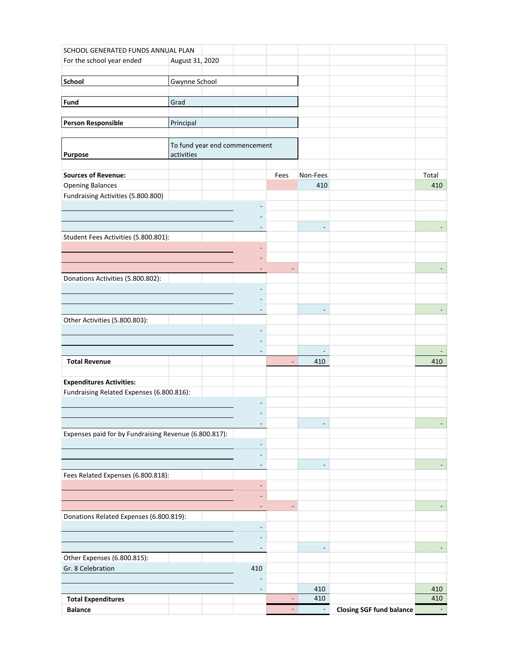|                                                       | SCHOOL GENERATED FUNDS ANNUAL PLAN |  |                               |                          |                          |                                 |                          |
|-------------------------------------------------------|------------------------------------|--|-------------------------------|--------------------------|--------------------------|---------------------------------|--------------------------|
| For the school year ended                             | August 31, 2020                    |  |                               |                          |                          |                                 |                          |
|                                                       |                                    |  |                               |                          |                          |                                 |                          |
| School                                                | Gwynne School                      |  |                               |                          |                          |                                 |                          |
| Fund                                                  | Grad                               |  |                               |                          |                          |                                 |                          |
|                                                       |                                    |  |                               |                          |                          |                                 |                          |
| <b>Person Responsible</b>                             | Principal                          |  |                               |                          |                          |                                 |                          |
|                                                       |                                    |  |                               |                          |                          |                                 |                          |
|                                                       |                                    |  | To fund year end commencement |                          |                          |                                 |                          |
| Purpose                                               | activities                         |  |                               |                          |                          |                                 |                          |
|                                                       |                                    |  |                               |                          |                          |                                 |                          |
| <b>Sources of Revenue:</b><br><b>Opening Balances</b> |                                    |  |                               | Fees                     | Non-Fees<br>410          |                                 | Total<br>410             |
| Fundraising Activities (5.800.800)                    |                                    |  |                               |                          |                          |                                 |                          |
|                                                       |                                    |  |                               |                          |                          |                                 |                          |
|                                                       |                                    |  |                               |                          |                          |                                 |                          |
|                                                       |                                    |  |                               |                          | $\overline{\phantom{m}}$ |                                 |                          |
| Student Fees Activities (5.800.801):                  |                                    |  |                               |                          |                          |                                 |                          |
|                                                       |                                    |  |                               |                          |                          |                                 |                          |
|                                                       |                                    |  |                               |                          |                          |                                 |                          |
| Donations Activities (5.800.802):                     |                                    |  |                               | $\overline{a}$           |                          |                                 |                          |
|                                                       |                                    |  |                               |                          |                          |                                 |                          |
|                                                       |                                    |  |                               |                          |                          |                                 |                          |
|                                                       |                                    |  |                               |                          |                          |                                 |                          |
| Other Activities (5.800.803):                         |                                    |  |                               |                          |                          |                                 |                          |
|                                                       |                                    |  |                               |                          |                          |                                 |                          |
|                                                       |                                    |  |                               |                          |                          |                                 |                          |
|                                                       |                                    |  |                               |                          | $\overline{\phantom{a}}$ |                                 |                          |
| <b>Total Revenue</b>                                  |                                    |  |                               | $\overline{\phantom{a}}$ | 410                      |                                 | 410                      |
| <b>Expenditures Activities:</b>                       |                                    |  |                               |                          |                          |                                 |                          |
| Fundraising Related Expenses (6.800.816):             |                                    |  |                               |                          |                          |                                 |                          |
|                                                       |                                    |  |                               |                          |                          |                                 |                          |
|                                                       |                                    |  |                               |                          |                          |                                 |                          |
|                                                       |                                    |  | $\overline{\phantom{a}}$      |                          |                          |                                 |                          |
| Expenses paid for by Fundraising Revenue (6.800.817): |                                    |  |                               |                          |                          |                                 |                          |
|                                                       |                                    |  | $\overline{\phantom{m}}$      |                          |                          |                                 |                          |
|                                                       |                                    |  | $\qquad \qquad \blacksquare$  |                          |                          |                                 |                          |
| Fees Related Expenses (6.800.818):                    |                                    |  |                               |                          |                          |                                 |                          |
|                                                       |                                    |  | $\overline{\phantom{a}}$      |                          |                          |                                 |                          |
|                                                       |                                    |  | -                             |                          |                          |                                 |                          |
|                                                       |                                    |  | $\overline{\phantom{a}}$      | ٠                        |                          |                                 | $\overline{\phantom{a}}$ |
| Donations Related Expenses (6.800.819):               |                                    |  |                               |                          |                          |                                 |                          |
|                                                       |                                    |  | $\overline{\phantom{a}}$      |                          |                          |                                 |                          |
|                                                       |                                    |  | ÷                             |                          |                          |                                 |                          |
| Other Expenses (6.800.815):                           |                                    |  | $\overline{\phantom{a}}$      |                          |                          |                                 |                          |
| Gr. 8 Celebration                                     |                                    |  | 410                           |                          |                          |                                 |                          |
|                                                       |                                    |  |                               |                          |                          |                                 |                          |
|                                                       |                                    |  | $\overline{\phantom{a}}$      |                          | 410                      |                                 | 410                      |
| <b>Total Expenditures</b>                             |                                    |  |                               | ٠                        | 410                      |                                 | 410                      |
| <b>Balance</b>                                        |                                    |  |                               | $\sim$                   | $\sim$                   | <b>Closing SGF fund balance</b> | $\sim$                   |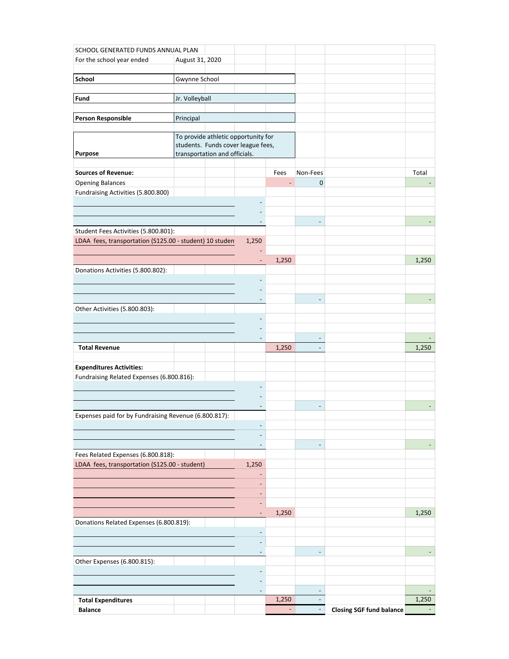| SCHOOL GENERATED FUNDS ANNUAL PLAN                      |                 |                               |                                     |                          |                          |                                 |       |
|---------------------------------------------------------|-----------------|-------------------------------|-------------------------------------|--------------------------|--------------------------|---------------------------------|-------|
| For the school year ended                               | August 31, 2020 |                               |                                     |                          |                          |                                 |       |
|                                                         |                 |                               |                                     |                          |                          |                                 |       |
| School                                                  | Gwynne School   |                               |                                     |                          |                          |                                 |       |
| Fund                                                    | Jr. Volleyball  |                               |                                     |                          |                          |                                 |       |
|                                                         |                 |                               |                                     |                          |                          |                                 |       |
| <b>Person Responsible</b>                               | Principal       |                               |                                     |                          |                          |                                 |       |
|                                                         |                 |                               |                                     |                          |                          |                                 |       |
|                                                         |                 |                               | To provide athletic opportunity for |                          |                          |                                 |       |
| <b>Purpose</b>                                          |                 | transportation and officials. | students. Funds cover league fees,  |                          |                          |                                 |       |
|                                                         |                 |                               |                                     |                          |                          |                                 |       |
| <b>Sources of Revenue:</b>                              |                 |                               |                                     | Fees                     | Non-Fees                 |                                 | Total |
| <b>Opening Balances</b>                                 |                 |                               |                                     |                          | 0                        |                                 |       |
| Fundraising Activities (5.800.800)                      |                 |                               |                                     |                          |                          |                                 |       |
|                                                         |                 |                               |                                     |                          |                          |                                 |       |
|                                                         |                 |                               |                                     |                          |                          |                                 |       |
| Student Fees Activities (5.800.801):                    |                 |                               |                                     |                          |                          |                                 |       |
| LDAA fees, transportation (S125.00 - student) 10 studen |                 |                               | 1,250                               |                          |                          |                                 |       |
|                                                         |                 |                               |                                     |                          |                          |                                 |       |
|                                                         |                 |                               | $\overline{\phantom{a}}$            | 1,250                    |                          |                                 | 1,250 |
| Donations Activities (5.800.802):                       |                 |                               |                                     |                          |                          |                                 |       |
|                                                         |                 |                               |                                     |                          |                          |                                 |       |
|                                                         |                 |                               |                                     |                          |                          |                                 |       |
|                                                         |                 |                               |                                     |                          |                          |                                 |       |
| Other Activities (5.800.803):                           |                 |                               |                                     |                          |                          |                                 |       |
|                                                         |                 |                               |                                     |                          |                          |                                 |       |
|                                                         |                 |                               |                                     |                          |                          |                                 |       |
| <b>Total Revenue</b>                                    |                 |                               |                                     | 1,250                    |                          |                                 | 1,250 |
|                                                         |                 |                               |                                     |                          |                          |                                 |       |
| <b>Expenditures Activities:</b>                         |                 |                               |                                     |                          |                          |                                 |       |
| Fundraising Related Expenses (6.800.816):               |                 |                               |                                     |                          |                          |                                 |       |
|                                                         |                 |                               |                                     |                          |                          |                                 |       |
|                                                         |                 |                               |                                     |                          |                          |                                 |       |
| Expenses paid for by Fundraising Revenue (6.800.817):   |                 |                               |                                     |                          |                          |                                 |       |
|                                                         |                 |                               |                                     |                          |                          |                                 |       |
|                                                         |                 |                               |                                     |                          |                          |                                 |       |
|                                                         |                 |                               |                                     |                          |                          |                                 |       |
| Fees Related Expenses (6.800.818):                      |                 |                               |                                     |                          |                          |                                 |       |
| LDAA fees, transportation (S125.00 - student)           |                 |                               | 1,250                               |                          |                          |                                 |       |
|                                                         |                 |                               | $\overline{a}$                      |                          |                          |                                 |       |
|                                                         |                 |                               |                                     |                          |                          |                                 |       |
|                                                         |                 |                               |                                     |                          |                          |                                 |       |
|                                                         |                 |                               | $\overline{\phantom{a}}$            | 1,250                    |                          |                                 | 1,250 |
| Donations Related Expenses (6.800.819):                 |                 |                               |                                     |                          |                          |                                 |       |
|                                                         |                 |                               | $\overline{\phantom{a}}$            |                          |                          |                                 |       |
|                                                         |                 |                               |                                     |                          |                          |                                 |       |
| Other Expenses (6.800.815):                             |                 |                               |                                     |                          |                          |                                 |       |
|                                                         |                 |                               |                                     |                          |                          |                                 |       |
|                                                         |                 |                               |                                     |                          |                          |                                 |       |
|                                                         |                 |                               |                                     |                          | $\overline{\phantom{a}}$ |                                 |       |
| <b>Total Expenditures</b>                               |                 |                               |                                     | 1,250                    |                          |                                 | 1,250 |
| <b>Balance</b>                                          |                 |                               |                                     | $\overline{\phantom{0}}$ | $\overline{\phantom{a}}$ | <b>Closing SGF fund balance</b> |       |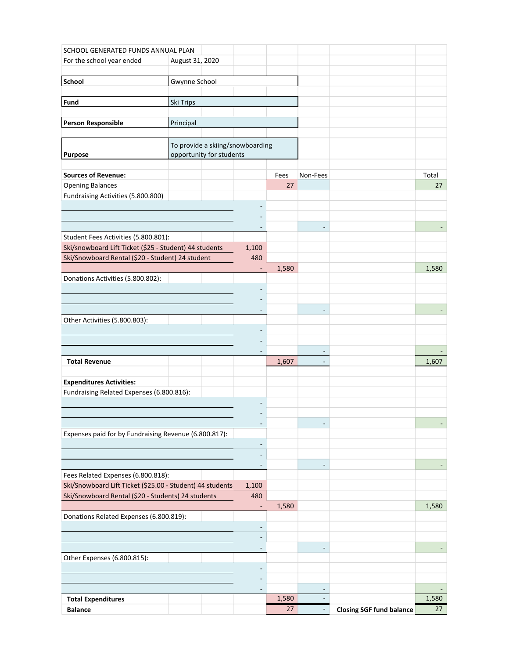| SCHOOL GENERATED FUNDS ANNUAL PLAN                        |                          |                                  |       |                          |                                 |       |
|-----------------------------------------------------------|--------------------------|----------------------------------|-------|--------------------------|---------------------------------|-------|
| For the school year ended                                 | August 31, 2020          |                                  |       |                          |                                 |       |
|                                                           |                          |                                  |       |                          |                                 |       |
| <b>School</b>                                             | Gwynne School            |                                  |       |                          |                                 |       |
| Fund                                                      | Ski Trips                |                                  |       |                          |                                 |       |
|                                                           |                          |                                  |       |                          |                                 |       |
| <b>Person Responsible</b>                                 | Principal                |                                  |       |                          |                                 |       |
|                                                           |                          |                                  |       |                          |                                 |       |
|                                                           |                          | To provide a skiing/snowboarding |       |                          |                                 |       |
| <b>Purpose</b>                                            | opportunity for students |                                  |       |                          |                                 |       |
|                                                           |                          |                                  |       |                          |                                 |       |
| <b>Sources of Revenue:</b>                                |                          |                                  | Fees  | Non-Fees                 |                                 | Total |
| <b>Opening Balances</b>                                   |                          |                                  | 27    |                          |                                 | 27    |
| Fundraising Activities (5.800.800)                        |                          |                                  |       |                          |                                 |       |
|                                                           |                          |                                  |       |                          |                                 |       |
|                                                           |                          |                                  |       |                          |                                 |       |
| Student Fees Activities (5.800.801):                      |                          |                                  |       |                          |                                 |       |
| Ski/snowboard Lift Ticket (\$25 - Student) 44 students    |                          | 1,100                            |       |                          |                                 |       |
| Ski/Snowboard Rental (\$20 - Student) 24 student          |                          | 480                              |       |                          |                                 |       |
|                                                           |                          | $\overline{\phantom{a}}$         | 1,580 |                          |                                 | 1,580 |
| Donations Activities (5.800.802):                         |                          |                                  |       |                          |                                 |       |
|                                                           |                          |                                  |       |                          |                                 |       |
|                                                           |                          |                                  |       |                          |                                 |       |
|                                                           |                          |                                  |       |                          |                                 |       |
| Other Activities (5.800.803):                             |                          |                                  |       |                          |                                 |       |
|                                                           |                          |                                  |       |                          |                                 |       |
|                                                           |                          |                                  |       | $\overline{\phantom{a}}$ |                                 |       |
| <b>Total Revenue</b>                                      |                          |                                  | 1,607 | $\blacksquare$           |                                 | 1,607 |
|                                                           |                          |                                  |       |                          |                                 |       |
| <b>Expenditures Activities:</b>                           |                          |                                  |       |                          |                                 |       |
| Fundraising Related Expenses (6.800.816):                 |                          |                                  |       |                          |                                 |       |
|                                                           |                          |                                  |       |                          |                                 |       |
|                                                           |                          |                                  |       |                          |                                 |       |
| Expenses paid for by Fundraising Revenue (6.800.817):     |                          | $\overline{\phantom{a}}$         |       |                          |                                 |       |
|                                                           |                          | $\overline{\phantom{a}}$         |       |                          |                                 |       |
|                                                           |                          |                                  |       |                          |                                 |       |
|                                                           |                          | $\overline{\phantom{a}}$         |       |                          |                                 |       |
| Fees Related Expenses (6.800.818):                        |                          |                                  |       |                          |                                 |       |
| Ski/Snowboard Lift Ticket (\$25.00 - Student) 44 students |                          | 1,100                            |       |                          |                                 |       |
| Ski/Snowboard Rental (\$20 - Students) 24 students        |                          | 480                              |       |                          |                                 |       |
|                                                           |                          | $\blacksquare$                   | 1,580 |                          |                                 | 1,580 |
| Donations Related Expenses (6.800.819):                   |                          |                                  |       |                          |                                 |       |
|                                                           |                          | $\overline{\phantom{a}}$         |       |                          |                                 |       |
|                                                           |                          |                                  |       |                          |                                 |       |
| Other Expenses (6.800.815):                               |                          | $\overline{\phantom{a}}$         |       |                          |                                 |       |
|                                                           |                          |                                  |       |                          |                                 |       |
|                                                           |                          |                                  |       |                          |                                 |       |
|                                                           |                          | $\overline{\phantom{a}}$         |       |                          |                                 |       |
| <b>Total Expenditures</b>                                 |                          |                                  | 1,580 |                          |                                 | 1,580 |
| <b>Balance</b>                                            |                          |                                  | 27    |                          | <b>Closing SGF fund balance</b> | 27    |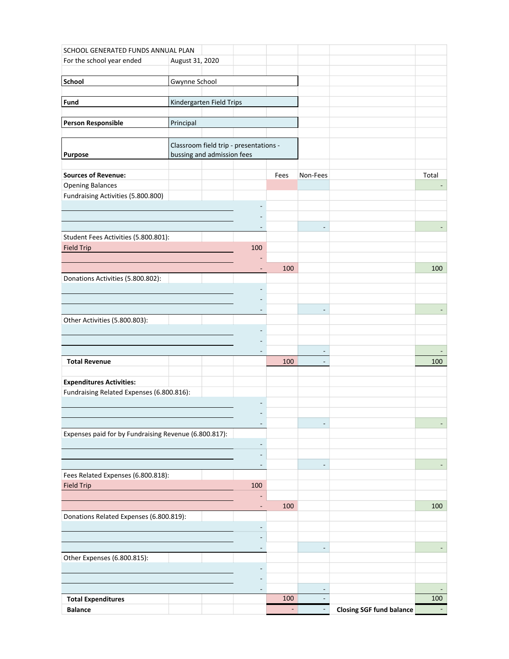| SCHOOL GENERATED FUNDS ANNUAL PLAN                    |                            |  |                                        |        |                          |                                 |       |
|-------------------------------------------------------|----------------------------|--|----------------------------------------|--------|--------------------------|---------------------------------|-------|
| For the school year ended                             | August 31, 2020            |  |                                        |        |                          |                                 |       |
|                                                       |                            |  |                                        |        |                          |                                 |       |
| School                                                | <b>Gwynne School</b>       |  |                                        |        |                          |                                 |       |
| Fund                                                  | Kindergarten Field Trips   |  |                                        |        |                          |                                 |       |
|                                                       |                            |  |                                        |        |                          |                                 |       |
| <b>Person Responsible</b>                             | Principal                  |  |                                        |        |                          |                                 |       |
|                                                       |                            |  |                                        |        |                          |                                 |       |
|                                                       |                            |  | Classroom field trip - presentations - |        |                          |                                 |       |
| Purpose                                               | bussing and admission fees |  |                                        |        |                          |                                 |       |
| <b>Sources of Revenue:</b>                            |                            |  |                                        | Fees   | Non-Fees                 |                                 | Total |
| <b>Opening Balances</b>                               |                            |  |                                        |        |                          |                                 |       |
| Fundraising Activities (5.800.800)                    |                            |  |                                        |        |                          |                                 |       |
|                                                       |                            |  | ۰                                      |        |                          |                                 |       |
|                                                       |                            |  |                                        |        |                          |                                 |       |
| Student Fees Activities (5.800.801):                  |                            |  |                                        |        |                          |                                 |       |
| <b>Field Trip</b>                                     |                            |  | 100                                    |        |                          |                                 |       |
|                                                       |                            |  |                                        |        |                          |                                 |       |
|                                                       |                            |  | $\overline{a}$                         | 100    |                          |                                 | 100   |
| Donations Activities (5.800.802):                     |                            |  |                                        |        |                          |                                 |       |
|                                                       |                            |  |                                        |        |                          |                                 |       |
|                                                       |                            |  |                                        |        |                          |                                 |       |
|                                                       |                            |  | ٠                                      |        |                          |                                 |       |
| Other Activities (5.800.803):                         |                            |  |                                        |        |                          |                                 |       |
|                                                       |                            |  |                                        |        |                          |                                 |       |
|                                                       |                            |  | $\overline{\phantom{a}}$               |        | $\blacksquare$           |                                 |       |
| <b>Total Revenue</b>                                  |                            |  |                                        | 100    |                          |                                 | 100   |
|                                                       |                            |  |                                        |        |                          |                                 |       |
| <b>Expenditures Activities:</b>                       |                            |  |                                        |        |                          |                                 |       |
| Fundraising Related Expenses (6.800.816):             |                            |  |                                        |        |                          |                                 |       |
|                                                       |                            |  |                                        |        |                          |                                 |       |
|                                                       |                            |  | $\overline{a}$                         |        |                          |                                 |       |
| Expenses paid for by Fundraising Revenue (6.800.817): |                            |  |                                        |        |                          |                                 |       |
|                                                       |                            |  | $\overline{\phantom{a}}$               |        |                          |                                 |       |
|                                                       |                            |  | $\overline{a}$                         |        |                          |                                 |       |
|                                                       |                            |  | $\overline{\phantom{a}}$               |        |                          |                                 |       |
| Fees Related Expenses (6.800.818):                    |                            |  |                                        |        |                          |                                 |       |
| <b>Field Trip</b>                                     |                            |  | 100                                    |        |                          |                                 |       |
|                                                       |                            |  | $\overline{\phantom{a}}$               | 100    |                          |                                 | 100   |
| Donations Related Expenses (6.800.819):               |                            |  |                                        |        |                          |                                 |       |
|                                                       |                            |  | $\overline{\phantom{a}}$               |        |                          |                                 |       |
|                                                       |                            |  |                                        |        |                          |                                 |       |
|                                                       |                            |  | $\overline{\phantom{a}}$               |        |                          |                                 |       |
| Other Expenses (6.800.815):                           |                            |  |                                        |        |                          |                                 |       |
|                                                       |                            |  |                                        |        |                          |                                 |       |
|                                                       |                            |  | $\overline{\phantom{a}}$               |        | $\overline{\phantom{a}}$ |                                 |       |
| <b>Total Expenditures</b>                             |                            |  |                                        | 100    |                          |                                 | 100   |
| <b>Balance</b>                                        |                            |  |                                        | $\sim$ |                          | <b>Closing SGF fund balance</b> |       |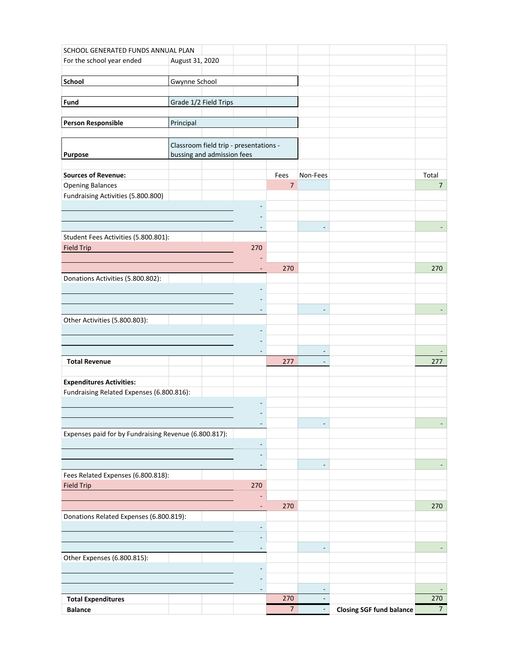| SCHOOL GENERATED FUNDS ANNUAL PLAN                    |                                        |                              |                 |                          |                                 |                |
|-------------------------------------------------------|----------------------------------------|------------------------------|-----------------|--------------------------|---------------------------------|----------------|
| For the school year ended                             | August 31, 2020                        |                              |                 |                          |                                 |                |
|                                                       |                                        |                              |                 |                          |                                 |                |
| School                                                | Gwynne School                          |                              |                 |                          |                                 |                |
| Fund                                                  | Grade 1/2 Field Trips                  |                              |                 |                          |                                 |                |
|                                                       |                                        |                              |                 |                          |                                 |                |
| <b>Person Responsible</b>                             | Principal                              |                              |                 |                          |                                 |                |
|                                                       |                                        |                              |                 |                          |                                 |                |
|                                                       | Classroom field trip - presentations - |                              |                 |                          |                                 |                |
| Purpose                                               | bussing and admission fees             |                              |                 |                          |                                 |                |
| <b>Sources of Revenue:</b>                            |                                        |                              | Fees            | Non-Fees                 |                                 | Total          |
| <b>Opening Balances</b>                               |                                        |                              | $\overline{7}$  |                          |                                 | $\overline{7}$ |
| Fundraising Activities (5.800.800)                    |                                        |                              |                 |                          |                                 |                |
|                                                       |                                        |                              |                 |                          |                                 |                |
|                                                       |                                        |                              |                 |                          |                                 |                |
|                                                       |                                        |                              |                 |                          |                                 |                |
| Student Fees Activities (5.800.801):                  |                                        |                              |                 |                          |                                 |                |
| <b>Field Trip</b>                                     |                                        | 270                          |                 |                          |                                 |                |
|                                                       |                                        | $\overline{a}$               | 270             |                          |                                 | 270            |
| Donations Activities (5.800.802):                     |                                        |                              |                 |                          |                                 |                |
|                                                       |                                        |                              |                 |                          |                                 |                |
|                                                       |                                        |                              |                 |                          |                                 |                |
|                                                       |                                        |                              |                 |                          |                                 |                |
| Other Activities (5.800.803):                         |                                        |                              |                 |                          |                                 |                |
|                                                       |                                        |                              |                 |                          |                                 |                |
|                                                       |                                        |                              |                 | $\overline{\phantom{a}}$ |                                 |                |
| <b>Total Revenue</b>                                  |                                        |                              | 277             | $\overline{\phantom{a}}$ |                                 | 277            |
|                                                       |                                        |                              |                 |                          |                                 |                |
| <b>Expenditures Activities:</b>                       |                                        |                              |                 |                          |                                 |                |
| Fundraising Related Expenses (6.800.816):             |                                        |                              |                 |                          |                                 |                |
|                                                       |                                        |                              |                 |                          |                                 |                |
|                                                       |                                        |                              |                 |                          |                                 |                |
| Expenses paid for by Fundraising Revenue (6.800.817): |                                        | $\overline{\phantom{a}}$     |                 |                          |                                 |                |
|                                                       |                                        | ٠                            |                 |                          |                                 |                |
|                                                       |                                        |                              |                 |                          |                                 |                |
|                                                       |                                        | $\qquad \qquad \blacksquare$ |                 |                          |                                 |                |
| Fees Related Expenses (6.800.818):                    |                                        |                              |                 |                          |                                 |                |
| <b>Field Trip</b>                                     |                                        | 270                          |                 |                          |                                 |                |
|                                                       |                                        |                              |                 |                          |                                 |                |
| Donations Related Expenses (6.800.819):               |                                        | ٠                            | 270             |                          |                                 | 270            |
|                                                       |                                        | $\overline{\phantom{a}}$     |                 |                          |                                 |                |
|                                                       |                                        |                              |                 |                          |                                 |                |
|                                                       |                                        | $\overline{\phantom{a}}$     |                 |                          |                                 |                |
| Other Expenses (6.800.815):                           |                                        |                              |                 |                          |                                 |                |
|                                                       |                                        |                              |                 |                          |                                 |                |
|                                                       |                                        |                              |                 |                          |                                 |                |
| <b>Total Expenditures</b>                             |                                        | ٠                            | 270             |                          |                                 | 270            |
| <b>Balance</b>                                        |                                        |                              | $7\overline{ }$ | $\overline{\phantom{a}}$ | <b>Closing SGF fund balance</b> | 7 <sup>7</sup> |
|                                                       |                                        |                              |                 |                          |                                 |                |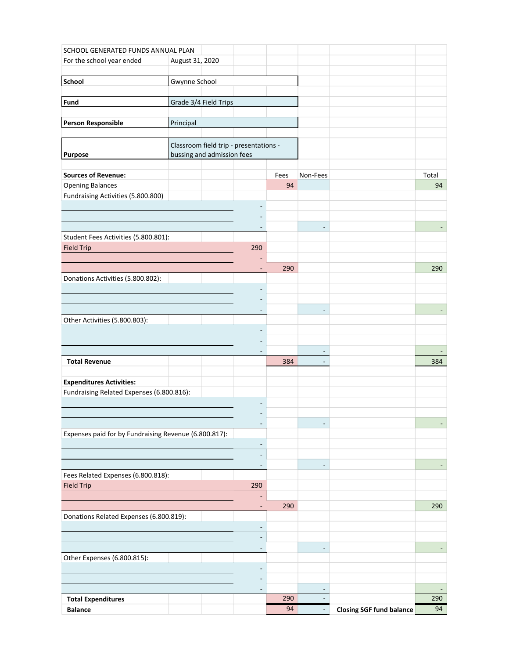| SCHOOL GENERATED FUNDS ANNUAL PLAN                    |                                        |                              |      |                          |                                 |       |
|-------------------------------------------------------|----------------------------------------|------------------------------|------|--------------------------|---------------------------------|-------|
| For the school year ended                             | August 31, 2020                        |                              |      |                          |                                 |       |
|                                                       |                                        |                              |      |                          |                                 |       |
| School                                                | Gwynne School                          |                              |      |                          |                                 |       |
| Fund                                                  | Grade 3/4 Field Trips                  |                              |      |                          |                                 |       |
|                                                       |                                        |                              |      |                          |                                 |       |
| <b>Person Responsible</b>                             | Principal                              |                              |      |                          |                                 |       |
|                                                       |                                        |                              |      |                          |                                 |       |
|                                                       | Classroom field trip - presentations - |                              |      |                          |                                 |       |
| Purpose                                               | bussing and admission fees             |                              |      |                          |                                 |       |
| <b>Sources of Revenue:</b>                            |                                        |                              | Fees | Non-Fees                 |                                 | Total |
| <b>Opening Balances</b>                               |                                        |                              | 94   |                          |                                 | 94    |
| Fundraising Activities (5.800.800)                    |                                        |                              |      |                          |                                 |       |
|                                                       |                                        |                              |      |                          |                                 |       |
|                                                       |                                        |                              |      |                          |                                 |       |
|                                                       |                                        |                              |      | ÷,                       |                                 |       |
| Student Fees Activities (5.800.801):                  |                                        |                              |      |                          |                                 |       |
| <b>Field Trip</b>                                     |                                        | 290                          |      |                          |                                 |       |
|                                                       |                                        | ٠                            | 290  |                          |                                 | 290   |
| Donations Activities (5.800.802):                     |                                        |                              |      |                          |                                 |       |
|                                                       |                                        |                              |      |                          |                                 |       |
|                                                       |                                        |                              |      |                          |                                 |       |
|                                                       |                                        |                              |      |                          |                                 |       |
| Other Activities (5.800.803):                         |                                        |                              |      |                          |                                 |       |
|                                                       |                                        |                              |      |                          |                                 |       |
|                                                       |                                        |                              |      | $\overline{\phantom{a}}$ |                                 |       |
| <b>Total Revenue</b>                                  |                                        |                              | 384  | $\overline{\phantom{a}}$ |                                 | 384   |
|                                                       |                                        |                              |      |                          |                                 |       |
| <b>Expenditures Activities:</b>                       |                                        |                              |      |                          |                                 |       |
| Fundraising Related Expenses (6.800.816):             |                                        |                              |      |                          |                                 |       |
|                                                       |                                        |                              |      |                          |                                 |       |
|                                                       |                                        |                              |      |                          |                                 |       |
| Expenses paid for by Fundraising Revenue (6.800.817): |                                        | $\overline{\phantom{a}}$     |      |                          |                                 |       |
|                                                       |                                        | $\overline{a}$               |      |                          |                                 |       |
|                                                       |                                        | ٠                            |      |                          |                                 |       |
|                                                       |                                        | $\qquad \qquad \blacksquare$ |      | $\overline{a}$           |                                 |       |
| Fees Related Expenses (6.800.818):                    |                                        |                              |      |                          |                                 |       |
| <b>Field Trip</b>                                     |                                        | 290                          |      |                          |                                 |       |
|                                                       |                                        |                              |      |                          |                                 |       |
| Donations Related Expenses (6.800.819):               |                                        | ٠                            | 290  |                          |                                 | 290   |
|                                                       |                                        | $\overline{\phantom{a}}$     |      |                          |                                 |       |
|                                                       |                                        |                              |      |                          |                                 |       |
|                                                       |                                        | $\overline{\phantom{a}}$     |      |                          |                                 |       |
| Other Expenses (6.800.815):                           |                                        |                              |      |                          |                                 |       |
|                                                       |                                        |                              |      |                          |                                 |       |
|                                                       |                                        |                              |      |                          |                                 |       |
| <b>Total Expenditures</b>                             |                                        | $\overline{\phantom{a}}$     | 290  |                          |                                 | 290   |
| <b>Balance</b>                                        |                                        |                              | 94   | $\blacksquare$           | <b>Closing SGF fund balance</b> | 94    |
|                                                       |                                        |                              |      |                          |                                 |       |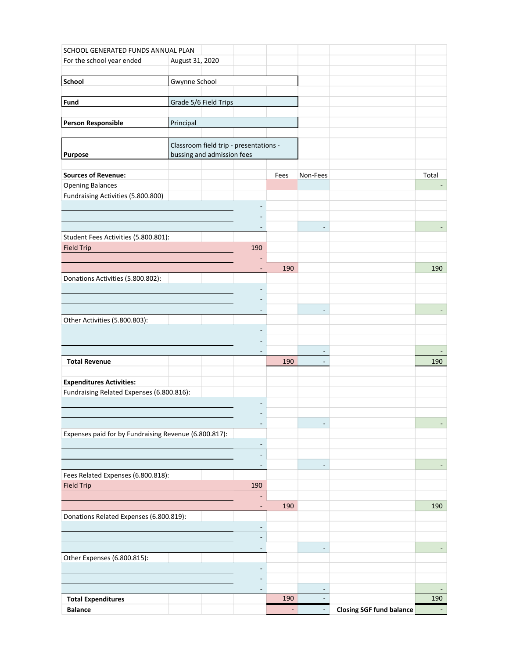| SCHOOL GENERATED FUNDS ANNUAL PLAN                    |                            |                                        |        |                          |                                 |       |
|-------------------------------------------------------|----------------------------|----------------------------------------|--------|--------------------------|---------------------------------|-------|
| For the school year ended                             | August 31, 2020            |                                        |        |                          |                                 |       |
|                                                       |                            |                                        |        |                          |                                 |       |
| School                                                | Gwynne School              |                                        |        |                          |                                 |       |
| Fund                                                  | Grade 5/6 Field Trips      |                                        |        |                          |                                 |       |
|                                                       |                            |                                        |        |                          |                                 |       |
| <b>Person Responsible</b>                             | Principal                  |                                        |        |                          |                                 |       |
|                                                       |                            |                                        |        |                          |                                 |       |
|                                                       |                            | Classroom field trip - presentations - |        |                          |                                 |       |
| Purpose                                               | bussing and admission fees |                                        |        |                          |                                 |       |
| <b>Sources of Revenue:</b>                            |                            |                                        | Fees   | Non-Fees                 |                                 | Total |
| <b>Opening Balances</b>                               |                            |                                        |        |                          |                                 |       |
| Fundraising Activities (5.800.800)                    |                            |                                        |        |                          |                                 |       |
|                                                       |                            | ۰                                      |        |                          |                                 |       |
|                                                       |                            |                                        |        |                          |                                 |       |
| Student Fees Activities (5.800.801):                  |                            |                                        |        |                          |                                 |       |
| <b>Field Trip</b>                                     |                            | 190                                    |        |                          |                                 |       |
|                                                       |                            |                                        |        |                          |                                 |       |
|                                                       |                            | $\overline{a}$                         | 190    |                          |                                 | 190   |
| Donations Activities (5.800.802):                     |                            |                                        |        |                          |                                 |       |
|                                                       |                            |                                        |        |                          |                                 |       |
|                                                       |                            | ٠                                      |        |                          |                                 |       |
| Other Activities (5.800.803):                         |                            |                                        |        |                          |                                 |       |
|                                                       |                            |                                        |        |                          |                                 |       |
|                                                       |                            |                                        |        |                          |                                 |       |
|                                                       |                            | $\overline{\phantom{a}}$               |        | $\blacksquare$           |                                 |       |
| <b>Total Revenue</b>                                  |                            |                                        | 190    |                          |                                 | 190   |
| <b>Expenditures Activities:</b>                       |                            |                                        |        |                          |                                 |       |
| Fundraising Related Expenses (6.800.816):             |                            |                                        |        |                          |                                 |       |
|                                                       |                            |                                        |        |                          |                                 |       |
|                                                       |                            |                                        |        |                          |                                 |       |
|                                                       |                            | $\overline{a}$                         |        |                          |                                 |       |
| Expenses paid for by Fundraising Revenue (6.800.817): |                            |                                        |        |                          |                                 |       |
|                                                       |                            | $\overline{\phantom{a}}$               |        |                          |                                 |       |
|                                                       |                            | $\overline{\phantom{a}}$               |        |                          |                                 |       |
| Fees Related Expenses (6.800.818):                    |                            |                                        |        |                          |                                 |       |
| <b>Field Trip</b>                                     |                            | 190                                    |        |                          |                                 |       |
|                                                       |                            |                                        |        |                          |                                 |       |
|                                                       |                            | $\overline{\phantom{a}}$               | 190    |                          |                                 | 190   |
| Donations Related Expenses (6.800.819):               |                            |                                        |        |                          |                                 |       |
|                                                       |                            | $\overline{\phantom{a}}$               |        |                          |                                 |       |
|                                                       |                            | $\overline{\phantom{a}}$               |        |                          |                                 |       |
| Other Expenses (6.800.815):                           |                            |                                        |        |                          |                                 |       |
|                                                       |                            |                                        |        |                          |                                 |       |
|                                                       |                            |                                        |        |                          |                                 |       |
| <b>Total Expenditures</b>                             |                            | $\overline{\phantom{a}}$               | 190    | $\overline{\phantom{0}}$ |                                 | 190   |
| <b>Balance</b>                                        |                            |                                        | $\sim$ |                          | <b>Closing SGF fund balance</b> |       |
|                                                       |                            |                                        |        |                          |                                 |       |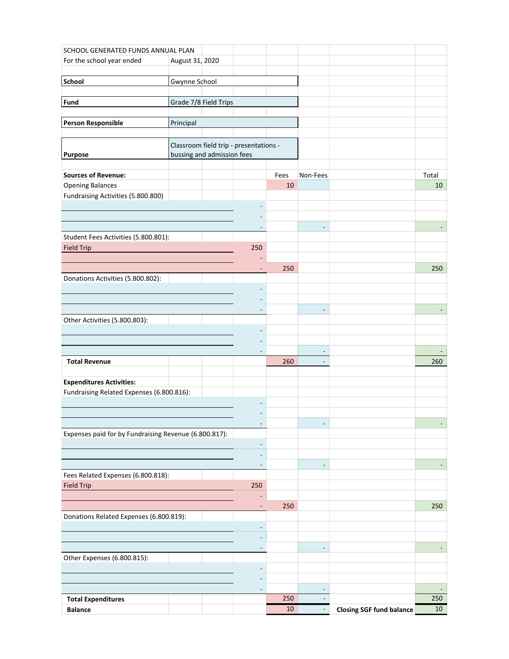| SCHOOL GENERATED FUNDS ANNUAL PLAN                                           |                                        |                                   |      |                          |                                 |       |
|------------------------------------------------------------------------------|----------------------------------------|-----------------------------------|------|--------------------------|---------------------------------|-------|
| For the school year ended                                                    | August 31, 2020                        |                                   |      |                          |                                 |       |
|                                                                              |                                        |                                   |      |                          |                                 |       |
| School                                                                       | Gwynne School                          |                                   |      |                          |                                 |       |
| Fund                                                                         | Grade 7/8 Field Trips                  |                                   |      |                          |                                 |       |
|                                                                              |                                        |                                   |      |                          |                                 |       |
| <b>Person Responsible</b>                                                    | Principal                              |                                   |      |                          |                                 |       |
|                                                                              |                                        |                                   |      |                          |                                 |       |
|                                                                              | Classroom field trip - presentations - |                                   |      |                          |                                 |       |
| Purpose                                                                      | bussing and admission fees             |                                   |      |                          |                                 |       |
| <b>Sources of Revenue:</b>                                                   |                                        |                                   | Fees | Non-Fees                 |                                 | Total |
| <b>Opening Balances</b>                                                      |                                        |                                   | 10   |                          |                                 | 10    |
| Fundraising Activities (5.800.800)                                           |                                        |                                   |      |                          |                                 |       |
|                                                                              |                                        |                                   |      |                          |                                 |       |
|                                                                              |                                        |                                   |      |                          |                                 |       |
| Student Fees Activities (5.800.801):                                         |                                        |                                   |      | ÷,                       |                                 |       |
| <b>Field Trip</b>                                                            |                                        | 250                               |      |                          |                                 |       |
|                                                                              |                                        |                                   |      |                          |                                 |       |
|                                                                              |                                        | $\overline{a}$                    | 250  |                          |                                 | 250   |
| Donations Activities (5.800.802):                                            |                                        |                                   |      |                          |                                 |       |
|                                                                              |                                        |                                   |      |                          |                                 |       |
|                                                                              |                                        |                                   |      |                          |                                 |       |
| Other Activities (5.800.803):                                                |                                        |                                   |      |                          |                                 |       |
|                                                                              |                                        |                                   |      |                          |                                 |       |
|                                                                              |                                        |                                   |      |                          |                                 |       |
|                                                                              |                                        |                                   |      | $\overline{\phantom{a}}$ |                                 |       |
| <b>Total Revenue</b>                                                         |                                        |                                   | 260  | $\overline{\phantom{a}}$ |                                 | 260   |
|                                                                              |                                        |                                   |      |                          |                                 |       |
| <b>Expenditures Activities:</b><br>Fundraising Related Expenses (6.800.816): |                                        |                                   |      |                          |                                 |       |
|                                                                              |                                        |                                   |      |                          |                                 |       |
|                                                                              |                                        |                                   |      |                          |                                 |       |
|                                                                              |                                        | $\overline{\phantom{a}}$          |      |                          |                                 |       |
| Expenses paid for by Fundraising Revenue (6.800.817):                        |                                        |                                   |      |                          |                                 |       |
|                                                                              |                                        | ٠                                 |      |                          |                                 |       |
|                                                                              |                                        | ٠<br>$\qquad \qquad \blacksquare$ |      | $\overline{a}$           |                                 |       |
| Fees Related Expenses (6.800.818):                                           |                                        |                                   |      |                          |                                 |       |
| <b>Field Trip</b>                                                            |                                        | 250                               |      |                          |                                 |       |
|                                                                              |                                        |                                   |      |                          |                                 |       |
|                                                                              |                                        | ٠                                 | 250  |                          |                                 | 250   |
| Donations Related Expenses (6.800.819):                                      |                                        |                                   |      |                          |                                 |       |
|                                                                              |                                        | $\overline{\phantom{a}}$          |      |                          |                                 |       |
|                                                                              |                                        | $\overline{\phantom{a}}$          |      |                          |                                 |       |
| Other Expenses (6.800.815):                                                  |                                        |                                   |      |                          |                                 |       |
|                                                                              |                                        |                                   |      |                          |                                 |       |
|                                                                              |                                        |                                   |      |                          |                                 |       |
|                                                                              |                                        | $\overline{\phantom{a}}$          | 250  |                          |                                 | 250   |
| <b>Total Expenditures</b><br><b>Balance</b>                                  |                                        |                                   | 10   | $\blacksquare$           | <b>Closing SGF fund balance</b> | 10    |
|                                                                              |                                        |                                   |      |                          |                                 |       |